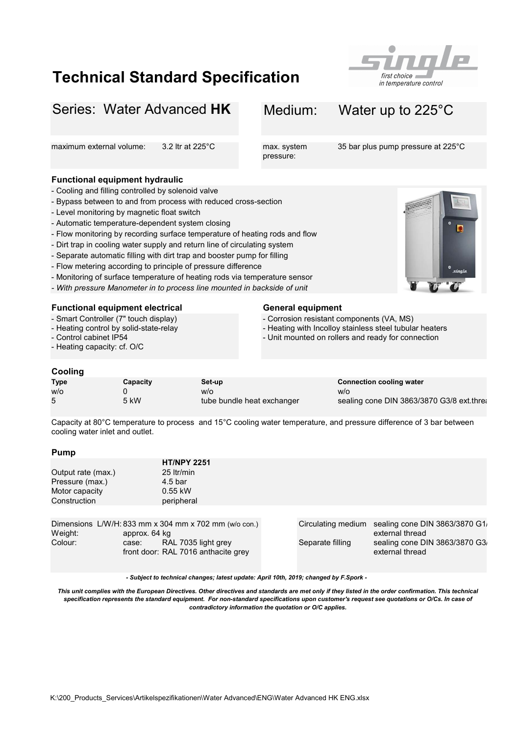## Technical Standard Specification



## Series: Water Advanced HK Medium: Water up to 225°C maximum external volume: 3.2 ltr at 225°C max. system 35 bar plus pump pressure at 225°C pressure: Functional equipment hydraulic - Level monitoring by magnetic float switch - Automatic temperature-dependent system closing - Monitoring of surface temperature of heating rods via temperature sensor - With pressure Manometer in to process line mounted in backside of unit Functional equipment electrical General equipment - Corrosion resistant components (VA, MS) - Heating with Incolloy stainless steel tubular heaters - Control cabinet IP54 Cooling Type Capacity Set-up Capacity Set-up Connection cooling water w/o 0 w/o w/o 5 5 kW tube bundle heat exchanger Pump HT/NPY 2251 Output rate (max.) 25 ltr/min Pressure (max.) 4.5 bar Motor capacity 0.55 kW Construction peripheral - Flow monitoring by recording surface temperature of heating rods and flow - Separate automatic filling with dirt trap and booster pump for filling - Unit mounted on rollers and ready for connection sealing cone DIN 3863/3870 G3/8 ext.threa - Flow metering according to principle of pressure difference Capacity at 80°C temperature to process and 15°C cooling water temperature, and pressure difference of 3 bar between cooling water inlet and outlet. - Dirt trap in cooling water supply and return line of circulating system - Smart Controller (7" touch display) - Heating control by solid-state-relay - Heating capacity: cf. O/C - Cooling and filling controlled by solenoid valve - Bypass between to and from process with reduced cross-section

| Weight: | Dimensions $L/W/H$ : 833 mm x 304 mm x 702 mm ( $w$ /o con.)<br>approx. 64 kg |                  | Circulating medium sealing cone DIN 3863/3870 G1<br>external thread |
|---------|-------------------------------------------------------------------------------|------------------|---------------------------------------------------------------------|
| Colour: | RAL 7035 light grey<br>case:<br>front door: RAL 7016 anthacite grey           | Separate filling | sealing cone DIN 3863/3870 G3<br>external thread                    |

- Subject to technical changes; latest update: April 10th, 2019; changed by F.Spork -

This unit complies with the European Directives. Other directives and standards are met only if they listed in the order confirmation. This technical specification represents the standard equipment. For non-standard specifications upon customer's request see quotations or O/Cs. In case of contradictory information the quotation or O/C applies.

| שוויש ו            |                    |  |  |  |  |
|--------------------|--------------------|--|--|--|--|
|                    | <b>HT/NPY 2251</b> |  |  |  |  |
| Output rate (max.) | 25 ltr/min         |  |  |  |  |
| Pressure (max.)    | $4.5$ bar          |  |  |  |  |
| Motor capacity     | $0.55$ kW          |  |  |  |  |
| Construction       | peripheral         |  |  |  |  |
|                    |                    |  |  |  |  |

| eight: | approx. 64 kg                                                       |                  | external thread                        |
|--------|---------------------------------------------------------------------|------------------|----------------------------------------|
| plour: | RAL 7035 light grey<br>case:<br>front door: RAL 7016 anthacite grey | Separate filling | sealing cone DIN 38<br>external thread |
|        |                                                                     |                  |                                        |